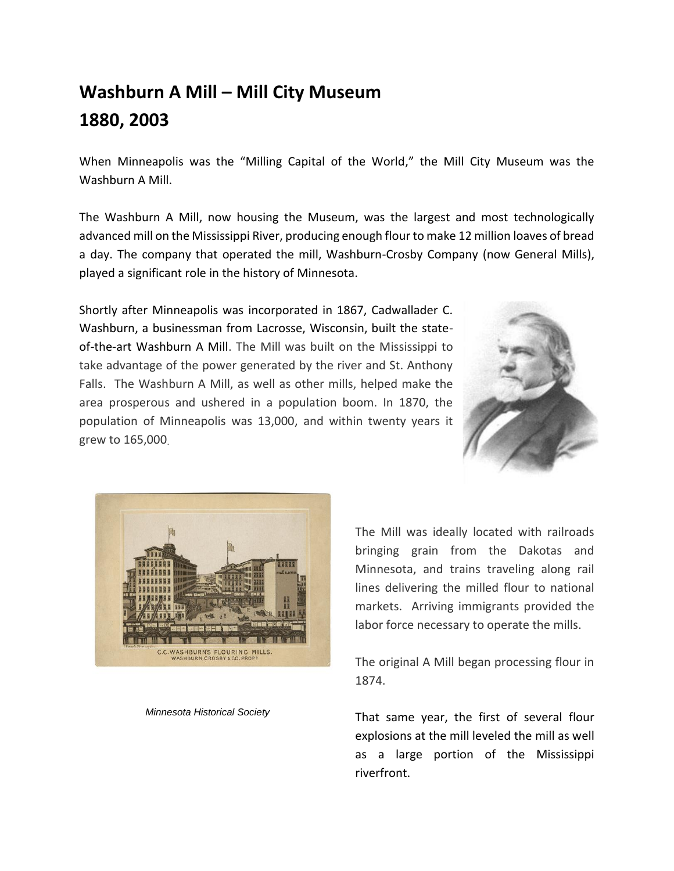## **Washburn A Mill – Mill City Museum 1880, 2003**

When Minneapolis was the "Milling Capital of the World," the Mill City Museum was the Washburn A Mill.

The Washburn A Mill, now housing the Museum, was the largest and most technologically advanced mill on the Mississippi River, producing enough flour to make 12 million loaves of bread a day. The company that operated the mill, Washburn-Crosby Company (now General Mills), played a significant role in the history of Minnesota.

Shortly after Minneapolis was incorporated in 1867, Cadwallader C. Washburn, a businessman from Lacrosse, Wisconsin, built the stateof-the-art Washburn A Mill. The Mill was built on the Mississippi to take advantage of the power generated by the river and St. Anthony Falls. The Washburn A Mill, as well as other mills, helped make the area prosperous and ushered in a population boom. In 1870, the population of Minneapolis was 13,000, and within twenty years it grew to 165,000.





 *Minnesota Historical Society*

The Mill was ideally located with railroads bringing grain from the Dakotas and Minnesota, and trains traveling along rail lines delivering the milled flour to national markets. Arriving immigrants provided the labor force necessary to operate the mills.

The original A Mill began processing flour in 1874.

That same year, the first of several flour explosions at the mill leveled the mill as well as a large portion of the Mississippi riverfront.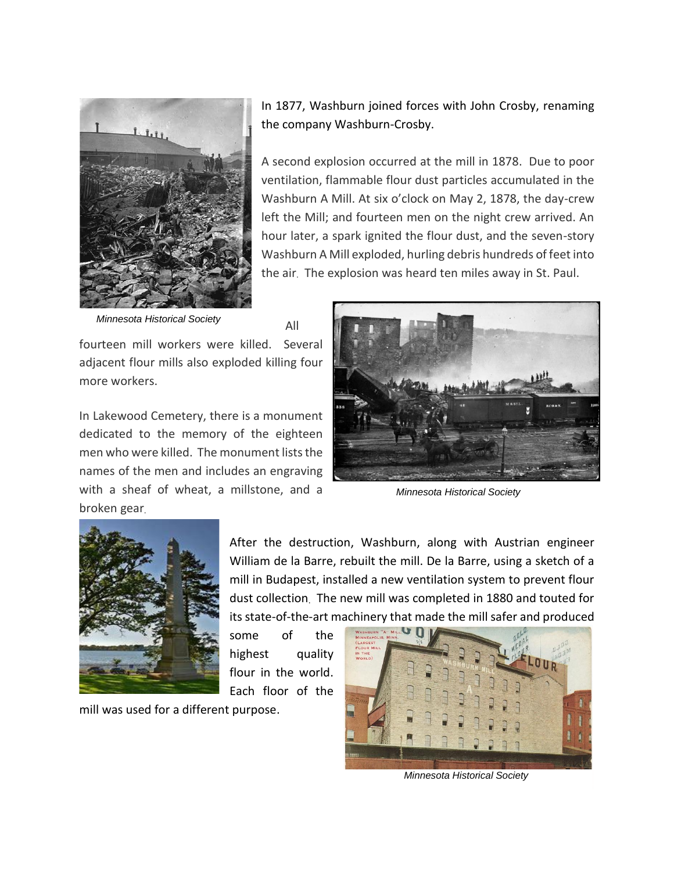

In 1877, Washburn joined forces with John Crosby, renaming the company Washburn-Crosby.

A second explosion occurred at the mill in 1878. Due to poor ventilation, flammable flour dust particles accumulated in the Washburn A Mill. At six o'clock on May 2, 1878, the day-crew left the Mill; and fourteen men on the night crew arrived. An hour later, a spark ignited the flour dust, and the seven-story Washburn A Mill exploded, hurling debris hundreds of feet into the air. The explosion was heard ten miles away in St. Paul.

 *Minnesota Historical Society*

All

fourteen mill workers were killed. Several adjacent flour mills also exploded killing four more workers.

In Lakewood Cemetery, there is a monument dedicated to the memory of the eighteen men who were killed. The monument lists the names of the men and includes an engraving with a sheaf of wheat, a millstone, and a broken gear.



 *Minnesota Historical Society*



After the destruction, Washburn, along with Austrian engineer William de la Barre, rebuilt the mill. De la Barre, using a sketch of a mill in Budapest, installed a new ventilation system to prevent flour dust collection. The new mill was completed in 1880 and touted for its state-of-the-art machinery that made the mill safer and produced

some of the highest quality flour in the world. Each floor of the

mill was used for a different purpose.



 *Minnesota Historical Society*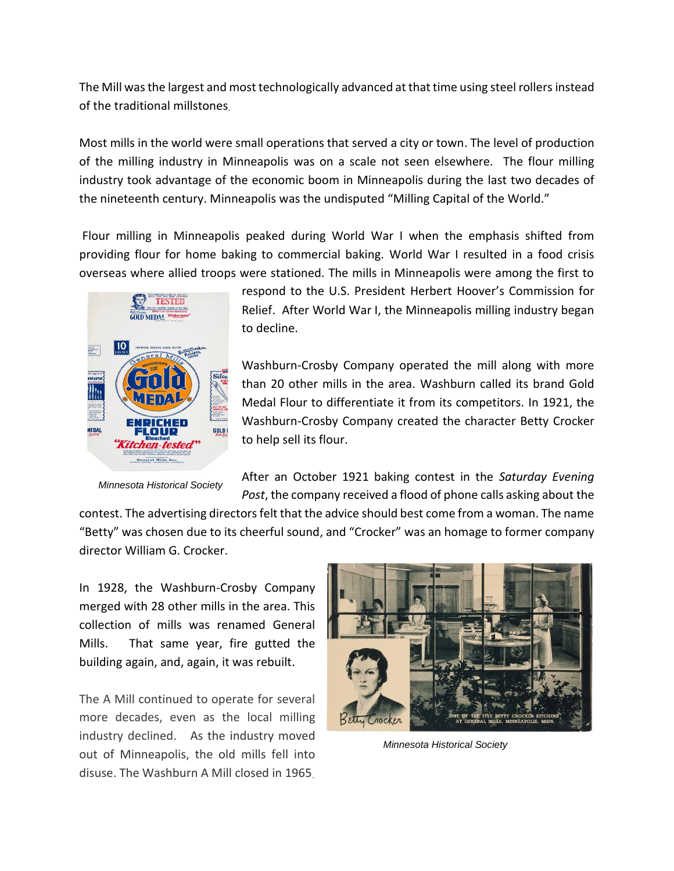The Mill was the largest and most technologically advanced at that time using steel rollers instead of the traditional millstones.

Most mills in the world were small operations that served a city or town. The level of production of the milling industry in Minneapolis was on a scale not seen elsewhere. The flour milling industry took advantage of the economic boom in Minneapolis during the last two decades of the nineteenth century. Minneapolis was the undisputed "Milling Capital of the World."

Flour milling in Minneapolis peaked during World War I when the emphasis shifted from providing flour for home baking to commercial baking. World War I resulted in a food crisis overseas where allied troops were stationed. The mills in Minneapolis were among the first to



 *Minnesota Historical Society*

respond to the U.S. President Herbert Hoover's Commission for Relief. After World War I, the Minneapolis milling industry began to decline.

Washburn-Crosby Company operated the mill along with more than 20 other mills in the area. Washburn called its brand Gold Medal Flour to differentiate it from its competitors. In 1921, the Washburn-Crosby Company created the character Betty Crocker to help sell its flour.

After an October 1921 baking contest in the *Saturday Evening Post*, the company received a flood of phone calls asking about the

contest. The advertising directors felt that the advice should best come from a woman. The name "Betty" was chosen due to its cheerful sound, and "Crocker" was an homage to former company director William G. Crocker.

In 1928, the Washburn-Crosby Company merged with 28 other mills in the area. This collection of mills was renamed General Mills. That same year, fire gutted the building again, and, again, it was rebuilt.

The A Mill continued to operate for several more decades, even as the local milling industry declined. As the industry moved out of Minneapolis, the old mills fell into disuse. The Washburn A Mill closed in 1965.



 *Minnesota Historical Society*